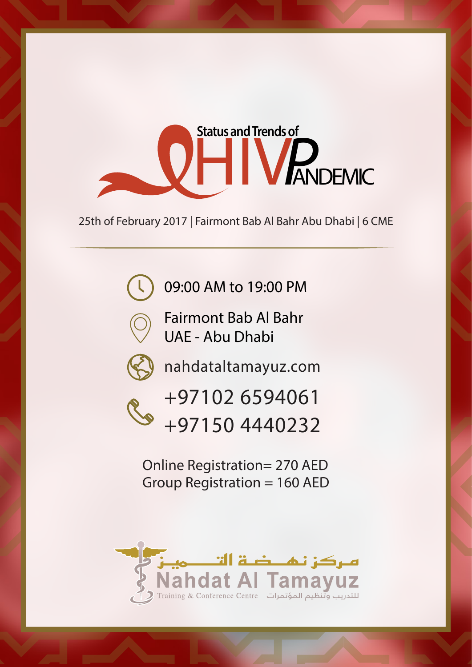

25th of February 2017 | Fairmont Bab Al Bahr Abu Dhabi | 6 CME

09:00 AM to 19:00 PM



Fairmont Bab Al Bahr UAE - Abu Dhabi



nahdataltamayuz.com



+97102 6594061 +97150 4440232

Online Registration= 270 AED Group Registration = 160 AED

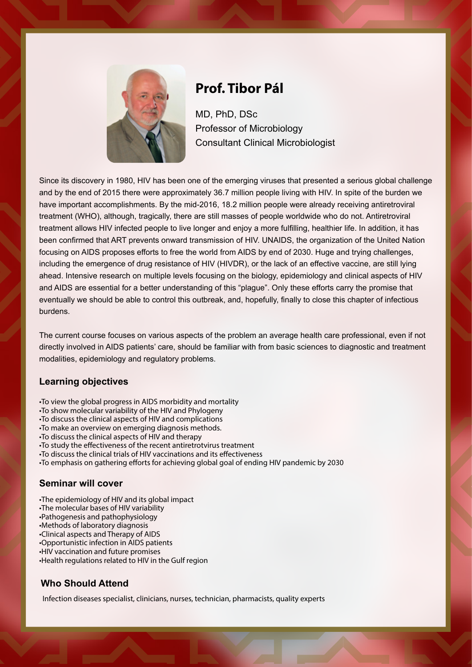

## **Prof. Tibor Pál**

MD, PhD, DSc Professor of Microbiology Consultant Clinical Microbiologist

Since its discovery in 1980, HIV has been one of the emerging viruses that presented a serious global challenge and by the end of 2015 there were approximately 36.7 million people living with HIV. In spite of the burden we have important accomplishments. By the mid-2016, 18.2 million people were already receiving antiretroviral treatment (WHO), although, tragically, there are still masses of people worldwide who do not. Antiretroviral treatment allows HIV infected people to live longer and enjoy a more fulfilling, healthier life. In addition, it has been confirmed that ART prevents onward transmission of HIV. UNAIDS, the organization of the United Nation focusing on AIDS proposes efforts to free the world from AIDS by end of 2030. Huge and trying challenges, including the emergence of drug resistance of HIV (HIVDR), or the lack of an effective vaccine, are still lying ahead. Intensive research on multiple levels focusing on the biology, epidemiology and clinical aspects of HIV and AIDS are essential for a better understanding of this "plague". Only these efforts carry the promise that eventually we should be able to control this outbreak, and, hopefully, finally to close this chapter of infectious burdens.

The current course focuses on various aspects of the problem an average health care professional, even if not directly involved in AIDS patients' care, should be familiar with from basic sciences to diagnostic and treatment modalities, epidemiology and regulatory problems.

#### **Learning objectives**

- •To view the global progress in AIDS morbidity and mortality
- •To show molecular variability of the HIV and Phylogeny
- •To discuss the clinical aspects of HIV and complications
- •To make an overview on emerging diagnosis methods.
- •To discuss the clinical aspects of HIV and therapy
- To study the effectiveness of the recent antiretrotvirus treatment
- •To discuss the clinical trials of HIV vaccinations and its effectiveness
- •To emphasis on gathering efforts for achieving global goal of ending HIV pandemic by 2030

#### **Seminar will cover**

- •The epidemiology of HIV and its global impact
- •The molecular bases of HIV variability
- •Pathogenesis and pathophysiology
- •Methods of laboratory diagnosis
- •Clinical aspects and Therapy of AIDS
- •Opportunistic infection in AIDS patients •HIV vaccination and future promises
- •Health regulations related to HIV in the Gulf region

### **Who Should Attend**

Infection diseases specialist, clinicians, nurses, technician, pharmacists, quality experts